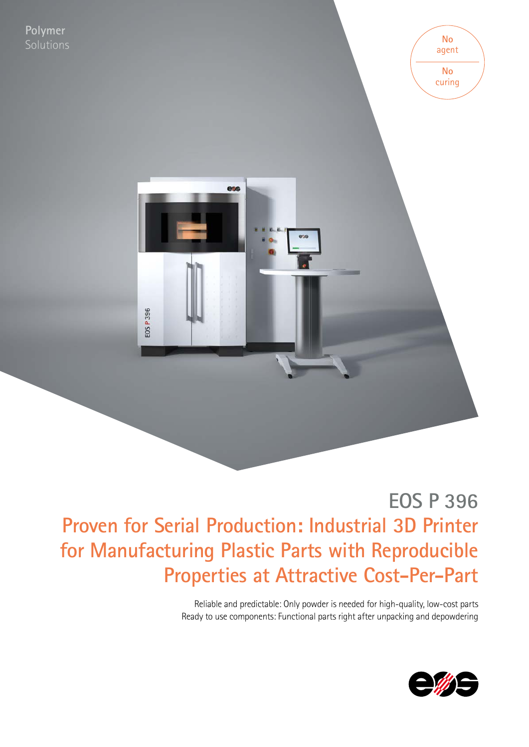

**EOS P 396 Proven for Serial Production: Industrial 3D Printer for Manufacturing Plastic Parts with Reproducible Properties at Attractive Cost-Per-Part**

> Reliable and predictable: Only powder is needed for high-quality, low-cost parts Ready to use components: Functional parts right after unpacking and depowdering